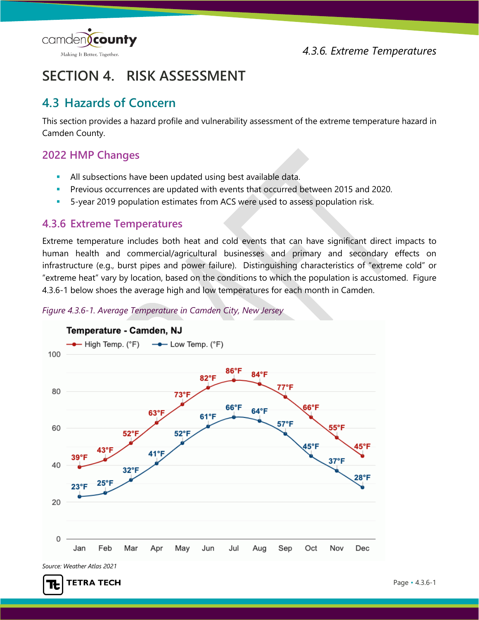

# **SECTION 4. RISK ASSESSMENT**

# **4.3 Hazards of Concern**

This section provides a hazard profile and vulnerability assessment of the extreme temperature hazard in Camden County.

# **2022 HMP Changes**

- All subsections have been updated using best available data.
- **Previous occurrences are updated with events that occurred between 2015 and 2020.**
- 5-year 2019 population estimates from ACS were used to assess population risk.

# **4.3.6 Extreme Temperatures**

Extreme temperature includes both heat and cold events that can have significant direct impacts to human health and commercial/agricultural businesses and primary and secondary effects on infrastructure (e.g., burst pipes and power failure). Distinguishing characteristics of "extreme cold" or "extreme heat" vary by location, based on the conditions to which the population is accustomed. [Figure](#page-0-0)  [4.3.6-1](#page-0-0) below shoes the average high and low temperatures for each month in Camden.



<span id="page-0-0"></span>*Figure 4.3.6-1. Average Temperature in Camden City, New Jersey* 

*Source: Weather Atlas 2021*

īŁ

**TETRA TECH**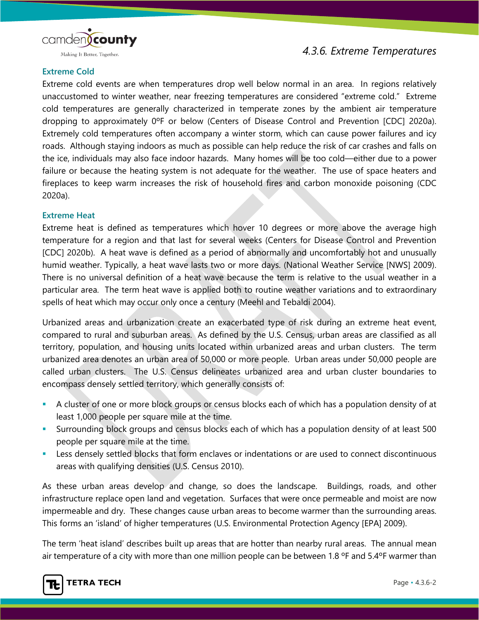

# **Extreme Cold**

Extreme cold events are when temperatures drop well below normal in an area. In regions relatively unaccustomed to winter weather, near freezing temperatures are considered "extreme cold." Extreme cold temperatures are generally characterized in temperate zones by the ambient air temperature dropping to approximately 0ºF or below (Centers of Disease Control and Prevention [CDC] 2020a). Extremely cold temperatures often accompany a winter storm, which can cause power failures and icy roads. Although staying indoors as much as possible can help reduce the risk of car crashes and falls on the ice, individuals may also face indoor hazards. Many homes will be too cold—either due to a power failure or because the heating system is not adequate for the weather. The use of space heaters and fireplaces to keep warm increases the risk of household fires and carbon monoxide poisoning (CDC 2020a).

#### **Extreme Heat**

Extreme heat is defined as temperatures which hover 10 degrees or more above the average high temperature for a region and that last for several weeks (Centers for Disease Control and Prevention [CDC] 2020b). A heat wave is defined as a period of abnormally and uncomfortably hot and unusually humid weather. Typically, a heat wave lasts two or more days. (National Weather Service [NWS] 2009). There is no universal definition of a heat wave because the term is relative to the usual weather in a particular area. The term heat wave is applied both to routine weather variations and to extraordinary spells of heat which may occur only once a century (Meehl and Tebaldi 2004).

Urbanized areas and urbanization create an exacerbated type of risk during an extreme heat event, compared to rural and suburban areas. As defined by the U.S. Census, urban areas are classified as all territory, population, and housing units located within urbanized areas and urban clusters. The term urbanized area denotes an urban area of 50,000 or more people. Urban areas under 50,000 people are called urban clusters. The U.S. Census delineates urbanized area and urban cluster boundaries to encompass densely settled territory, which generally consists of:

- A cluster of one or more block groups or census blocks each of which has a population density of at least 1,000 people per square mile at the time.
- Surrounding block groups and census blocks each of which has a population density of at least 500 people per square mile at the time.
- Less densely settled blocks that form enclaves or indentations or are used to connect discontinuous areas with qualifying densities (U.S. Census 2010).

As these urban areas develop and change, so does the landscape. Buildings, roads, and other infrastructure replace open land and vegetation. Surfaces that were once permeable and moist are now impermeable and dry. These changes cause urban areas to become warmer than the surrounding areas. This forms an 'island' of higher temperatures (U.S. Environmental Protection Agency [EPA] 2009).

The term 'heat island' describes built up areas that are hotter than nearby rural areas. The annual mean air temperature of a city with more than one million people can be between 1.8 ºF and 5.4ºF warmer than

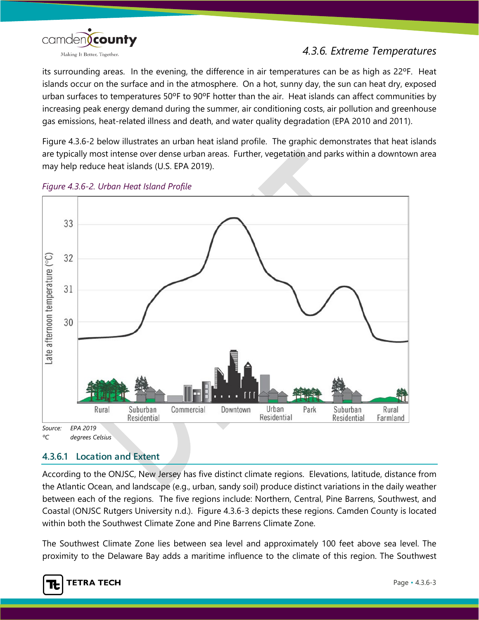

its surrounding areas. In the evening, the difference in air temperatures can be as high as 22ºF. Heat islands occur on the surface and in the atmosphere. On a hot, sunny day, the sun can heat dry, exposed urban surfaces to temperatures 50ºF to 90ºF hotter than the air. Heat islands can affect communities by increasing peak energy demand during the summer, air conditioning costs, air pollution and greenhouse gas emissions, heat-related illness and death, and water quality degradation (EPA 2010 and 2011).

[Figure 4.3.6-2](#page-2-0) below illustrates an urban heat island profile. The graphic demonstrates that heat islands are typically most intense over dense urban areas. Further, vegetation and parks within a downtown area may help reduce heat islands (U.S. EPA 2019).



<span id="page-2-0"></span>*Figure 4.3.6-2. Urban Heat Island Profile*

# **4.3.6.1 Location and Extent**

According to the ONJSC, New Jersey has five distinct climate regions. Elevations, latitude, distance from the Atlantic Ocean, and landscape (e.g., urban, sandy soil) produce distinct variations in the daily weather between each of the regions. The five regions include: Northern, Central, Pine Barrens, Southwest, and Coastal (ONJSC Rutgers University n.d.). [Figure 4.3.6-3](#page-3-0) depicts these regions. Camden County is located within both the Southwest Climate Zone and Pine Barrens Climate Zone.

The Southwest Climate Zone lies between sea level and approximately 100 feet above sea level. The proximity to the Delaware Bay adds a maritime influence to the climate of this region. The Southwest

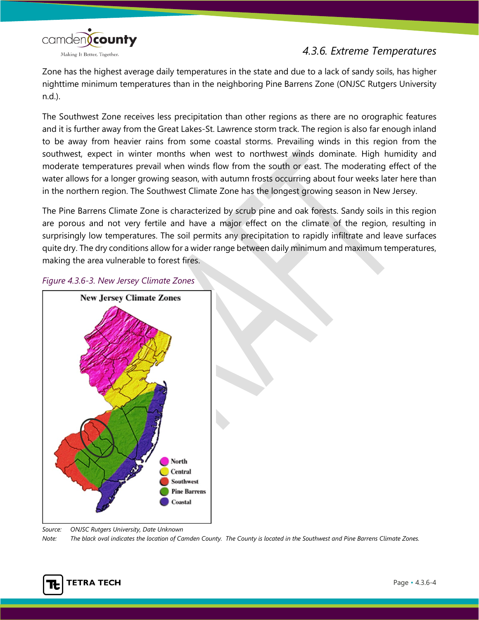camden(county Making It Better, Together.

# *4.3.6. Extreme Temperatures*

Zone has the highest average daily temperatures in the state and due to a lack of sandy soils, has higher nighttime minimum temperatures than in the neighboring Pine Barrens Zone (ONJSC Rutgers University n.d.).

The Southwest Zone receives less precipitation than other regions as there are no orographic features and it is further away from the Great Lakes-St. Lawrence storm track. The region is also far enough inland to be away from heavier rains from some coastal storms. Prevailing winds in this region from the southwest, expect in winter months when west to northwest winds dominate. High humidity and moderate temperatures prevail when winds flow from the south or east. The moderating effect of the water allows for a longer growing season, with autumn frosts occurring about four weeks later here than in the northern region. The Southwest Climate Zone has the longest growing season in New Jersey.

The Pine Barrens Climate Zone is characterized by scrub pine and oak forests. Sandy soils in this region are porous and not very fertile and have a major effect on the climate of the region, resulting in surprisingly low temperatures. The soil permits any precipitation to rapidly infiltrate and leave surfaces quite dry. The dry conditions allow for a wider range between daily minimum and maximum temperatures, making the area vulnerable to forest fires.



#### <span id="page-3-0"></span>*Figure 4.3.6-3. New Jersey Climate Zones*

*Source: ONJSC Rutgers University, Date Unknown Note: The black oval indicates the location of Camden County. The County is located in the Southwest and Pine Barrens Climate Zones.*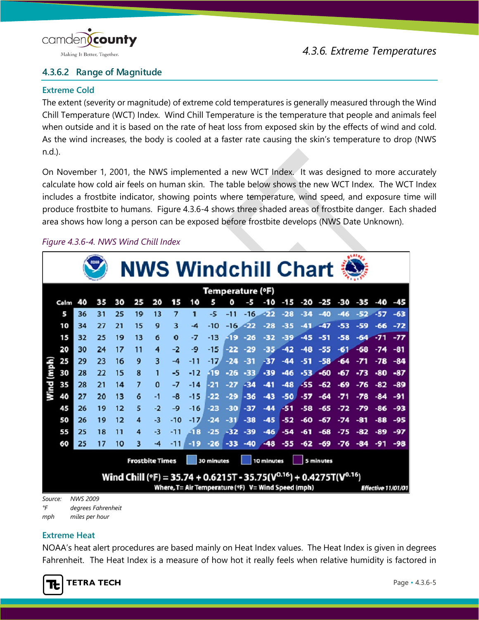

# **4.3.6.2 Range of Magnitude**

## **Extreme Cold**

The extent (severity or magnitude) of extreme cold temperatures is generally measured through the Wind Chill Temperature (WCT) Index. Wind Chill Temperature is the temperature that people and animals feel when outside and it is based on the rate of heat loss from exposed skin by the effects of wind and cold. As the wind increases, the body is cooled at a faster rate causing the skin's temperature to drop (NWS n.d.).

On November 1, 2001, the NWS implemented a new WCT Index. It was designed to more accurately calculate how cold air feels on human skin. The table below shows the new WCT Index. The WCT Index includes a frostbite indicator, showing points where temperature, wind speed, and exposure time will produce frostbite to humans. [Figure 4.3.6-4](#page-4-0) shows three shaded areas of frostbite danger. Each shaded area shows how long a person can be exposed before frostbite develops (NWS Date Unknown).

# <span id="page-4-0"></span>*Figure 4.3.6-4. NWS Wind Chill Index*

|         |                                                                 |                 |    |    |                | <b>NWS Windchill Chart</b>                                                      |                |       |                  |       |       |                                                    |        |       |       |       |       |       |                    |
|---------|-----------------------------------------------------------------|-----------------|----|----|----------------|---------------------------------------------------------------------------------|----------------|-------|------------------|-------|-------|----------------------------------------------------|--------|-------|-------|-------|-------|-------|--------------------|
|         |                                                                 |                 |    |    |                |                                                                                 |                |       | Temperature (°F) |       |       |                                                    |        |       |       |       |       |       |                    |
|         | Calm                                                            | 40              | 35 | 30 | 25             | 20                                                                              | 15             | 10    | 5                | O     | -5    | -10                                                | $-1.5$ | -20   | $-25$ | -30   | -35   | -40   | -45                |
|         | 5                                                               | 36              | 31 | 25 | 19             | 13                                                                              | $\overline{7}$ | 1     | $-5$             | $-11$ | $-16$ | -22                                                | $-28$  |       | -40   | $-46$ | $-52$ | $-57$ | $-63$              |
|         | 10                                                              | 34              | 27 | 21 | 15             | 9                                                                               | 3              | -4    | -10              | $-16$ | - 22  | -28                                                | -35    |       | $-47$ | $-53$ | -59   | -66   | $-72$              |
|         | 15                                                              | 32              | 25 | 19 | 13             | 6                                                                               | $\bf{o}$       | -7    | $-13$            | -19   | $-26$ | $-32$                                              | $-39$  | $-45$ | -51   | $-58$ | -64   | $-71$ | $-77$              |
|         | 20                                                              | 30              | 24 | 17 | 11             | 4                                                                               | $-2$           | -9    | $-15$            | -22   | -29   | $-35$                                              | $-42$  | -48   | -55   | -61   | $-68$ | $-74$ | -81                |
|         | 25                                                              | 29              | 23 | 16 | 9              | 3                                                                               | $-4$           | $-11$ | -17              | -24   | -31   | -37                                                |        |       | -58   | $-64$ |       | -78   | -84                |
| (mph)   | 30                                                              | 28              | 22 | 15 | 8              |                                                                                 | -5             | $-12$ | -19              | $-26$ | $-33$ | -39                                                | $-46$  | -53   | $-60$ | -67   | $-73$ | -80   | -87                |
| Wind    | 35                                                              | 28              | 21 | 14 | $\overline{z}$ | $\Omega$                                                                        | $-7$           | $-14$ | -21              | -27   | $-34$ | -41                                                | $-48$  | -55   | -62   | $-69$ | -76   |       | -89                |
|         | 40                                                              | 27              | 20 | 13 | 6              | $-1$                                                                            | -8             | $-15$ | -22              | -29   | -36   | $-43$                                              | -50    | -57   | -64   |       | -78   | -84   | -91                |
|         | 45                                                              | 26              | 19 | 12 | 5              | $-2$                                                                            | -9             | $-16$ | -23              | $-30$ | $-37$ | $-44$                                              | $-51$  | -58   | -65   |       | -79   | -86   | -93                |
|         | 50                                                              | 26              | 19 | 12 | 4              | $-3$                                                                            | $-10$          | $-17$ | $-24$            | $-31$ | $-38$ | $-45$                                              | $-52$  | -60   | $-67$ | -74   | -81   | $-88$ | -95                |
|         | 55                                                              | 25              | 18 | 11 | 4              | $-3$                                                                            | $-11$          | -18   | $-25$            | $-32$ | -39   | $-46$                                              | -54    |       | -68   |       |       | -89   | -97                |
|         | 60                                                              | 25              | 17 | 10 | 3              | -4                                                                              | -11            |       | -26              | -33   | $-40$ | $-48$                                              | -55    | -62   | -69   | 6     |       |       | -98                |
|         | <b>Frostbite Times</b><br>30 minutes<br>10 minutes<br>5 minutes |                 |    |    |                |                                                                                 |                |       |                  |       |       |                                                    |        |       |       |       |       |       |                    |
|         |                                                                 |                 |    |    |                | Wind Chill (°F) = 35.74 + 0.6215T - 35.75( $V^{0.16}$ ) + 0.4275T( $V^{0.16}$ ) |                |       |                  |       |       | Where, T= Air Temperature (°F) V= Wind Speed (mph) |        |       |       |       |       |       | Effective 11/01/01 |
| Source: |                                                                 | <b>NWS 2009</b> |    |    |                |                                                                                 |                |       |                  |       |       |                                                    |        |       |       |       |       |       |                    |

*°F degrees Fahrenheit*

*mph miles per hour*

# **Extreme Heat**

NOAA's heat alert procedures are based mainly on Heat Index values. The Heat Index is given in degrees Fahrenheit. The Heat Index is a measure of how hot it really feels when relative humidity is factored in

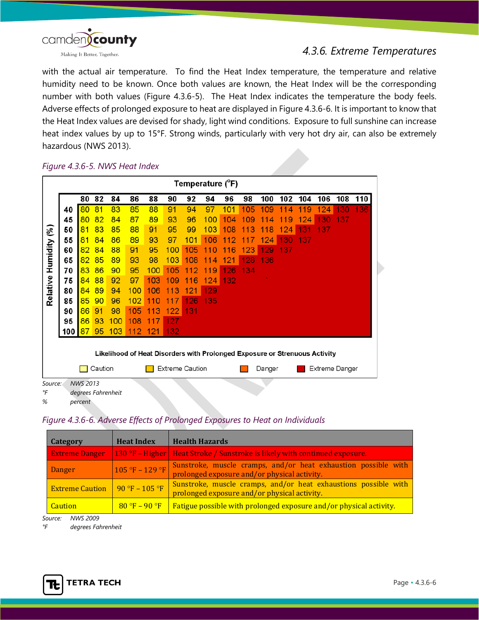

with the actual air temperature. To find the Heat Index temperature, the temperature and relative humidity need to be known. Once both values are known, the Heat Index will be the corresponding number with both values [\(Figure 4.3.6-5\)](#page-5-0). The Heat Index indicates the temperature the body feels. Adverse effects of prolonged exposure to heat are displayed in [Figure 4.3.6-6.](#page-5-1) It is important to know that the Heat Index values are devised for shady, light wind conditions. Exposure to full sunshine can increase heat index values by up to 15°F. Strong winds, particularly with very hot dry air, can also be extremely hazardous (NWS 2013).

<span id="page-5-0"></span>*Figure 4.3.6-5. NWS Heat Index*

| Temperature (°F)                                                           |     |                 |    |                    |     |         |           |     |        |     |     |        |     |     |     |     |     |
|----------------------------------------------------------------------------|-----|-----------------|----|--------------------|-----|---------|-----------|-----|--------|-----|-----|--------|-----|-----|-----|-----|-----|
|                                                                            |     | 80              | 82 | 84                 | 86  | 88      | 90        | 92  | 94     | 96  | 98  | 100    | 102 | 104 | 106 | 108 | 110 |
|                                                                            | 40  | 80              | 81 | 83                 | 85  | 88      | 91        | 94  | 97     | 101 | 105 | 109    | 4   | 119 | 124 | 130 | 136 |
|                                                                            | 45  | 80              | 82 | 84                 | 87  | 89      | 93        | 96  | 100    | 04  | 09  | 1<br>4 | 9   | 124 | 130 | 137 |     |
| $(\%)$                                                                     | 50  | 81              | 83 | 85                 | 88  | 91      | 95        | 99  | 103    | 108 | 13  | 1<br>8 | 124 | З   | 137 |     |     |
|                                                                            | 55  | 81              | 84 | 86                 | 89  | 93      | 97        | 101 | 106    | 2   |     | 124    | 130 | 137 |     |     |     |
| Humidity                                                                   | 60  | 82              | 84 | 88                 | 91  | 95      | 100       | 105 | 1<br>Ü | 6   | 123 | 129    | 137 |     |     |     |     |
|                                                                            | 65  | 82              | 85 | 89                 | 93  | 98      | 103       | 08  | 1<br>4 | 21  | 28  | 136    |     |     |     |     |     |
|                                                                            | 70  | 83              | 86 | 90                 | 95  | 100     | 105       | 2   | 1<br>9 | 26  | 134 |        |     |     |     |     |     |
| Relative                                                                   | 75  | 84              | 88 | 92                 | 97  | 103     | <b>09</b> | 6   | 124    | 132 |     |        |     |     |     |     |     |
|                                                                            | 80  | 84              | 89 | 94                 | 100 | 106     | 3         | 2   | 129    |     |     |        |     |     |     |     |     |
|                                                                            | 85  | 85              | 90 | 96                 | 102 | 1       |           | ĥ   | 135    |     |     |        |     |     |     |     |     |
|                                                                            | 90  | 86              | 91 | 98                 | 105 | 11<br>З | 122       | 131 |        |     |     |        |     |     |     |     |     |
|                                                                            | 95  | 86              | 93 | 100                | 108 | 1       | 127       |     |        |     |     |        |     |     |     |     |     |
|                                                                            | 100 | 87              | 95 | 103                | 112 | 121     | 132       |     |        |     |     |        |     |     |     |     |     |
| Likelihood of Heat Disorders with Prolonged Exposure or Strenuous Activity |     |                 |    |                    |     |         |           |     |        |     |     |        |     |     |     |     |     |
| Caution<br><b>Extreme Caution</b><br><b>Extreme Danger</b><br>Danger       |     |                 |    |                    |     |         |           |     |        |     |     |        |     |     |     |     |     |
| Source:<br>°F                                                              |     | <b>NWS 2013</b> |    | dearees Fahrenheit |     |         |           |     |        |     |     |        |     |     |     |     |     |

*% percent*

## <span id="page-5-1"></span>*Figure 4.3.6-6. Adverse Effects of Prolonged Exposures to Heat on Individuals*

| Category               | <b>Heat Index</b> | <b>Health Hazards</b>                                                                                           |
|------------------------|-------------------|-----------------------------------------------------------------------------------------------------------------|
| <b>Extreme Danger</b>  |                   | $\vert$ 130 °F – Higher   Heat Stroke / Sunstroke is likely with continued exposure.                            |
| Danger                 | $105 °F - 129 °F$ | Sunstroke, muscle cramps, and/or heat exhaustion possible with<br>prolonged exposure and/or physical activity.  |
| <b>Extreme Caution</b> | $90 °F - 105 °F$  | Sunstroke, muscle cramps, and/or heat exhaustions possible with<br>prolonged exposure and/or physical activity. |
| <b>Caution</b>         | $80 °F - 90 °F$   | Fatigue possible with prolonged exposure and/or physical activity.                                              |

*Source: NWS 2009*

*°F degrees Fahrenheit* 

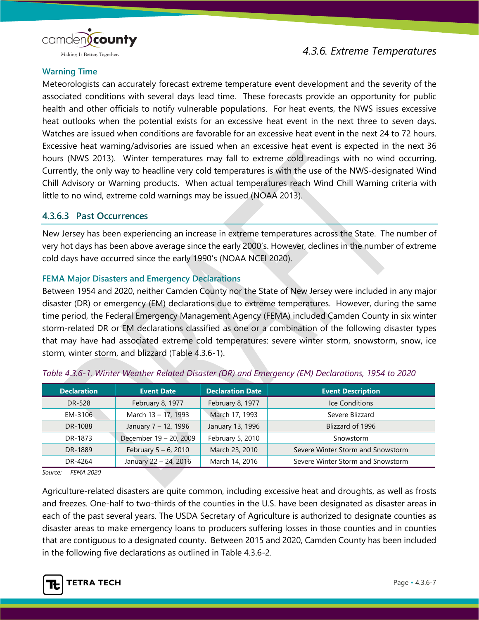

# **Warning Time**

Meteorologists can accurately forecast extreme temperature event development and the severity of the associated conditions with several days lead time. These forecasts provide an opportunity for public health and other officials to notify vulnerable populations. For heat events, the NWS issues excessive heat outlooks when the potential exists for an excessive heat event in the next three to seven days. Watches are issued when conditions are favorable for an excessive heat event in the next 24 to 72 hours. Excessive heat warning/advisories are issued when an excessive heat event is expected in the next 36 hours (NWS 2013). Winter temperatures may fall to extreme cold readings with no wind occurring. Currently, the only way to headline very cold temperatures is with the use of the NWS-designated Wind Chill Advisory or Warning products. When actual temperatures reach Wind Chill Warning criteria with little to no wind, extreme cold warnings may be issued (NOAA 2013).

## **4.3.6.3 Past Occurrences**

New Jersey has been experiencing an increase in extreme temperatures across the State. The number of very hot days has been above average since the early 2000's. However, declines in the number of extreme cold days have occurred since the early 1990's (NOAA NCEI 2020).

## **FEMA Major Disasters and Emergency Declarations**

Between 1954 and 2020, neither Camden County nor the State of New Jersey were included in any major disaster (DR) or emergency (EM) declarations due to extreme temperatures. However, during the same time period, the Federal Emergency Management Agency (FEMA) included Camden County in six winter storm-related DR or EM declarations classified as one or a combination of the following disaster types that may have had associated extreme cold temperatures: severe winter storm, snowstorm, snow, ice storm, winter storm, and blizzard (Table 4.3.6-1).

| <b>Declaration</b> | <b>Event Date</b>       | <b>Declaration Date</b> | <b>Event Description</b>          |
|--------------------|-------------------------|-------------------------|-----------------------------------|
| DR-528             | February 8, 1977        | February 8, 1977        | <b>Ice Conditions</b>             |
| EM-3106            | March 13 - 17, 1993     | March 17, 1993          | Severe Blizzard                   |
| DR-1088            | January 7 - 12, 1996    | January 13, 1996        | Blizzard of 1996                  |
| DR-1873            | December 19 - 20, 2009  | February 5, 2010        | Snowstorm                         |
| DR-1889            | February $5 - 6$ , 2010 | March 23, 2010          | Severe Winter Storm and Snowstorm |
| DR-4264            | January 22 - 24, 2016   | March 14, 2016          | Severe Winter Storm and Snowstorm |

| Table 4.3.6-1. Winter Weather Related Disaster (DR) and Emergency (EM) Declarations, 1954 to 2020 |  |  |  |  |  |
|---------------------------------------------------------------------------------------------------|--|--|--|--|--|
|---------------------------------------------------------------------------------------------------|--|--|--|--|--|

*Source: FEMA 2020*

Agriculture-related disasters are quite common, including excessive heat and droughts, as well as frosts and freezes. One-half to two-thirds of the counties in the U.S. have been designated as disaster areas in each of the past several years. The USDA Secretary of Agriculture is authorized to designate counties as disaster areas to make emergency loans to producers suffering losses in those counties and in counties that are contiguous to a designated county. Between 2015 and 2020, Camden County has been included in the following five declarations as outlined in [Table 4.3.6-2.](#page-7-0)

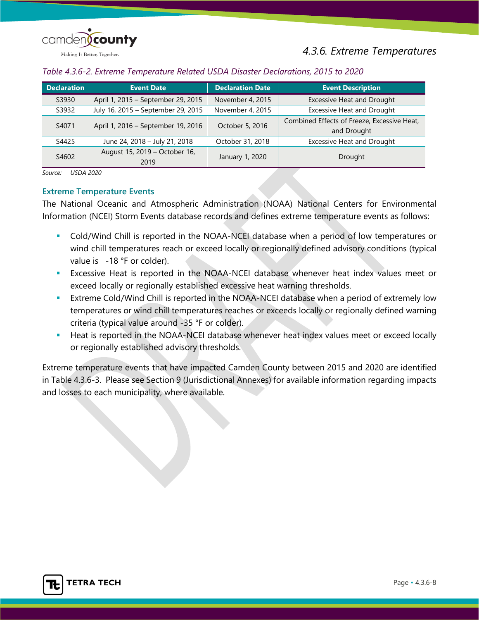

<span id="page-7-0"></span>

| Table 4.3.6-2. Extreme Temperature Related USDA Disaster Declarations, 2015 to 2020 |  |  |  |  |
|-------------------------------------------------------------------------------------|--|--|--|--|
|                                                                                     |  |  |  |  |

| <b>Declaration</b> | <b>Event Date</b>                     | <b>Declaration Date</b> | <b>Event Description</b>                                   |
|--------------------|---------------------------------------|-------------------------|------------------------------------------------------------|
| S3930              | April 1, 2015 - September 29, 2015    | November 4, 2015        | <b>Excessive Heat and Drought</b>                          |
| S3932              | July 16, 2015 - September 29, 2015    | November 4, 2015        | <b>Excessive Heat and Drought</b>                          |
| S4071              | April 1, 2016 - September 19, 2016    | October 5, 2016         | Combined Effects of Freeze, Excessive Heat,<br>and Drought |
| S4425              | June 24, 2018 - July 21, 2018         | October 31, 2018        | <b>Excessive Heat and Drought</b>                          |
| S4602              | August 15, 2019 - October 16,<br>2019 | January 1, 2020         | Drought                                                    |

*Source: USDA 2020*

### **Extreme Temperature Events**

The National Oceanic and Atmospheric Administration (NOAA) National Centers for Environmental Information (NCEI) Storm Events database records and defines extreme temperature events as follows:

- Cold/Wind Chill is reported in the NOAA-NCEI database when a period of low temperatures or wind chill temperatures reach or exceed locally or regionally defined advisory conditions (typical value is -18 °F or colder).
- Excessive Heat is reported in the NOAA-NCEI database whenever heat index values meet or exceed locally or regionally established excessive heat warning thresholds.
- Extreme Cold/Wind Chill is reported in the NOAA-NCEI database when a period of extremely low temperatures or wind chill temperatures reaches or exceeds locally or regionally defined warning criteria (typical value around -35 °F or colder).
- Heat is reported in the NOAA-NCEI database whenever heat index values meet or exceed locally or regionally established advisory thresholds.

Extreme temperature events that have impacted Camden County between 2015 and 2020 are identified in Table 4.3.6-3. Please see Section 9 (Jurisdictional Annexes) for available information regarding impacts and losses to each municipality, where available.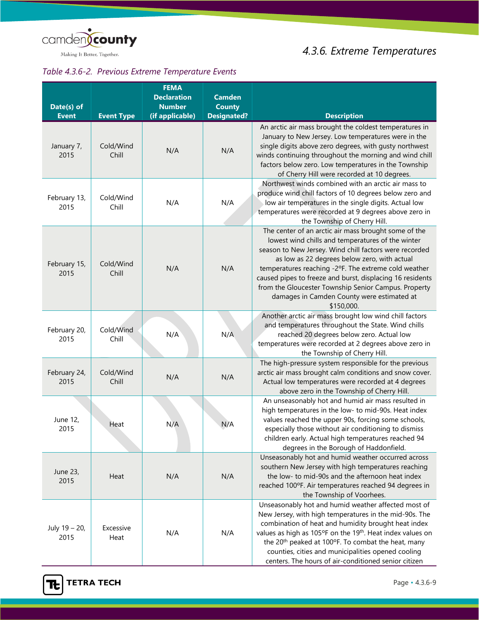

# Making It Better, Together.

# *Table 4.3.6-2. Previous Extreme Temperature Events*

| Date(s) of<br><b>Event</b> | <b>Event Type</b>  | <b>FEMA</b><br><b>Declaration</b><br><b>Number</b><br>(if applicable) | <b>Camden</b><br><b>County</b><br><b>Designated?</b> | <b>Description</b>                                                                                                                                                                                                                                                                                                                                                                                                                                           |
|----------------------------|--------------------|-----------------------------------------------------------------------|------------------------------------------------------|--------------------------------------------------------------------------------------------------------------------------------------------------------------------------------------------------------------------------------------------------------------------------------------------------------------------------------------------------------------------------------------------------------------------------------------------------------------|
| January 7,<br>2015         | Cold/Wind<br>Chill | N/A                                                                   | N/A                                                  | An arctic air mass brought the coldest temperatures in<br>January to New Jersey. Low temperatures were in the<br>single digits above zero degrees, with gusty northwest<br>winds continuing throughout the morning and wind chill<br>factors below zero. Low temperatures in the Township<br>of Cherry Hill were recorded at 10 degrees.                                                                                                                     |
| February 13,<br>2015       | Cold/Wind<br>Chill | N/A                                                                   | N/A                                                  | Northwest winds combined with an arctic air mass to<br>produce wind chill factors of 10 degrees below zero and<br>low air temperatures in the single digits. Actual low<br>temperatures were recorded at 9 degrees above zero in<br>the Township of Cherry Hill.                                                                                                                                                                                             |
| February 15,<br>2015       | Cold/Wind<br>Chill | N/A                                                                   | N/A                                                  | The center of an arctic air mass brought some of the<br>lowest wind chills and temperatures of the winter<br>season to New Jersey. Wind chill factors were recorded<br>as low as 22 degrees below zero, with actual<br>temperatures reaching -2°F. The extreme cold weather<br>caused pipes to freeze and burst, displacing 16 residents<br>from the Gloucester Township Senior Campus. Property<br>damages in Camden County were estimated at<br>\$150,000. |
| February 20,<br>2015       | Cold/Wind<br>Chill | N/A                                                                   | N/A                                                  | Another arctic air mass brought low wind chill factors<br>and temperatures throughout the State. Wind chills<br>reached 20 degrees below zero. Actual low<br>temperatures were recorded at 2 degrees above zero in<br>the Township of Cherry Hill.                                                                                                                                                                                                           |
| February 24,<br>2015       | Cold/Wind<br>Chill | N/A                                                                   | N/A                                                  | The high-pressure system responsible for the previous<br>arctic air mass brought calm conditions and snow cover.<br>Actual low temperatures were recorded at 4 degrees<br>above zero in the Township of Cherry Hill.                                                                                                                                                                                                                                         |
| June 12,<br>2015           | Heat               | N/A                                                                   | N/A                                                  | An unseasonably hot and humid air mass resulted in<br>high temperatures in the low- to mid-90s. Heat index<br>values reached the upper 90s, forcing some schools,<br>especially those without air conditioning to dismiss<br>children early. Actual high temperatures reached 94<br>degrees in the Borough of Haddonfield.                                                                                                                                   |
| June 23,<br>2015           | Heat               | N/A                                                                   | N/A                                                  | Unseasonably hot and humid weather occurred across<br>southern New Jersey with high temperatures reaching<br>the low- to mid-90s and the afternoon heat index<br>reached 100°F. Air temperatures reached 94 degrees in<br>the Township of Voorhees.                                                                                                                                                                                                          |
| July 19 - 20,<br>2015      | Excessive<br>Heat  | N/A                                                                   | N/A                                                  | Unseasonably hot and humid weather affected most of<br>New Jersey, with high temperatures in the mid-90s. The<br>combination of heat and humidity brought heat index<br>values as high as 105°F on the 19 <sup>th</sup> . Heat index values on<br>the 20 <sup>th</sup> peaked at 100°F. To combat the heat, many<br>counties, cities and municipalities opened cooling<br>centers. The hours of air-conditioned senior citizen                               |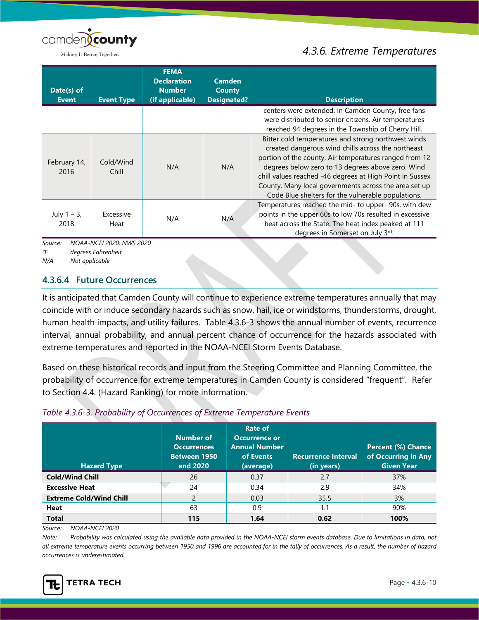

Making It Better, Together.

# *4.3.6. Extreme Temperatures*

| Date(s) of             |                          | <b>FEMA</b><br><b>Declaration</b><br><b>Number</b> | <b>Camden</b><br><b>County</b> |                                                                                                                                                                                                                                                                                                                                                                                                     |
|------------------------|--------------------------|----------------------------------------------------|--------------------------------|-----------------------------------------------------------------------------------------------------------------------------------------------------------------------------------------------------------------------------------------------------------------------------------------------------------------------------------------------------------------------------------------------------|
| <b>Event</b>           | <b>Event Type</b>        | (if applicable)                                    | <b>Designated?</b>             | <b>Description</b>                                                                                                                                                                                                                                                                                                                                                                                  |
|                        |                          |                                                    |                                | centers were extended. In Camden County, free fans<br>were distributed to senior citizens. Air temperatures<br>reached 94 degrees in the Township of Cherry Hill.                                                                                                                                                                                                                                   |
| February 14,<br>2016   | Cold/Wind<br>Chill       | N/A                                                | N/A                            | Bitter cold temperatures and strong northwest winds<br>created dangerous wind chills across the northeast<br>portion of the county. Air temperatures ranged from 12<br>degrees below zero to 13 degrees above zero. Wind<br>chill values reached -46 degrees at High Point in Sussex<br>County. Many local governments across the area set up<br>Code Blue shelters for the vulnerable populations. |
| July $1 - 3$ ,<br>2018 | Excessive<br>Heat        | N/A                                                | N/A                            | Temperatures reached the mid- to upper- 90s, with dew<br>points in the upper 60s to low 70s resulted in excessive<br>heat across the State. The heat index peaked at 111<br>degrees in Somerset on July 3rd.                                                                                                                                                                                        |
| Source:                | NOAA-NCEI 2020; NWS 2020 |                                                    |                                |                                                                                                                                                                                                                                                                                                                                                                                                     |

*°F degrees Fahrenheit*

*N/A Not applicable*

# **4.3.6.4 Future Occurrences**

It is anticipated that Camden County will continue to experience extreme temperatures annually that may coincide with or induce secondary hazards such as snow, hail, ice or windstorms, thunderstorms, drought, human health impacts, and utility failures. [Table 4.3.6-3](#page-9-0) shows the annual number of events, recurrence interval, annual probability, and annual percent chance of occurrence for the hazards associated with extreme temperatures and reported in the NOAA-NCEI Storm Events Database.

Based on these historical records and input from the Steering Committee and Planning Committee, the probability of occurrence for extreme temperatures in Camden County is considered "frequent". Refer to Section 4.4. (Hazard Ranking) for more information.

<span id="page-9-0"></span>

| <b>Hazard Type</b>             | Number of<br><b>Occurrences</b><br><b>Between 1950</b><br>and 2020 | Rate of<br><b>Occurrence or</b><br><b>Annual Number</b><br>of Events<br>(average) | <b>Recurrence Interval</b><br>(in years) | <b>Percent (%) Chance</b><br>of Occurring in Any<br><b>Given Year</b> |
|--------------------------------|--------------------------------------------------------------------|-----------------------------------------------------------------------------------|------------------------------------------|-----------------------------------------------------------------------|
| <b>Cold/Wind Chill</b>         | 26                                                                 | 0.37                                                                              | 2.7                                      | 37%                                                                   |
| <b>Excessive Heat</b>          | 24                                                                 | 0.34                                                                              | 2.9                                      | 34%                                                                   |
| <b>Extreme Cold/Wind Chill</b> |                                                                    | 0.03                                                                              | 35.5                                     | 3%                                                                    |
| <b>Heat</b>                    | 63                                                                 | 0.9                                                                               | 1.1                                      | 90%                                                                   |
| <b>Total</b>                   | 115                                                                | 1.64                                                                              | 0.62                                     | 100%                                                                  |

*Source: NOAA-NCEI 2020*

*Note: Probability was calculated using the available data provided in the NOAA-NCEI storm events database. Due to limitations in data, not all extreme temperature events occurring between 1950 and 1996 are accounted for in the tally of occurrences. As a result, the number of hazard occurrences is underestimated.*

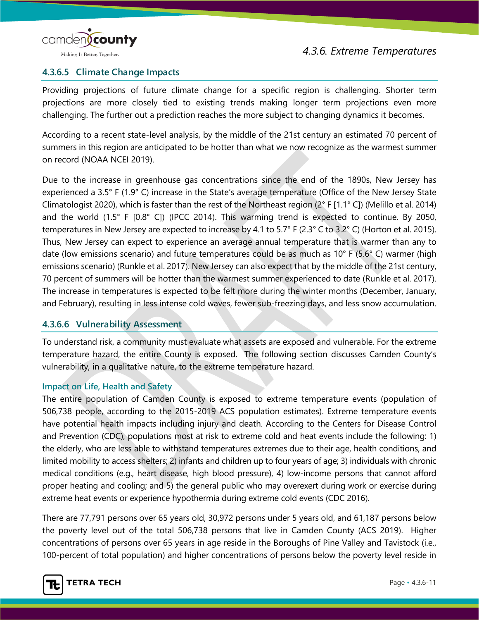

# **4.3.6.5 Climate Change Impacts**

Providing projections of future climate change for a specific region is challenging. Shorter term projections are more closely tied to existing trends making longer term projections even more challenging. The further out a prediction reaches the more subject to changing dynamics it becomes.

According to a recent state-level analysis, by the middle of the 21st century an estimated 70 percent of summers in this region are anticipated to be hotter than what we now recognize as the warmest summer on record (NOAA NCEI 2019).

Due to the increase in greenhouse gas concentrations since the end of the 1890s, New Jersey has experienced a 3.5° F (1.9° C) increase in the State's average temperature (Office of the New Jersey State Climatologist 2020), which is faster than the rest of the Northeast region (2° F [1.1° C]) (Melillo et al. 2014) and the world (1.5° F [0.8° C]) (IPCC 2014). This warming trend is expected to continue. By 2050, temperatures in New Jersey are expected to increase by 4.1 to 5.7° F (2.3° C to 3.2° C) (Horton et al. 2015). Thus, New Jersey can expect to experience an average annual temperature that is warmer than any to date (low emissions scenario) and future temperatures could be as much as 10° F (5.6° C) warmer (high emissions scenario) (Runkle et al. 2017). New Jersey can also expect that by the middle of the 21st century, 70 percent of summers will be hotter than the warmest summer experienced to date (Runkle et al. 2017). The increase in temperatures is expected to be felt more during the winter months (December, January, and February), resulting in less intense cold waves, fewer sub-freezing days, and less snow accumulation.

# **4.3.6.6 Vulnerability Assessment**

To understand risk, a community must evaluate what assets are exposed and vulnerable. For the extreme temperature hazard, the entire County is exposed. The following section discusses Camden County's vulnerability, in a qualitative nature, to the extreme temperature hazard.

## **Impact on Life, Health and Safety**

The entire population of Camden County is exposed to extreme temperature events (population of 506,738 people, according to the 2015-2019 ACS population estimates). Extreme temperature events have potential health impacts including injury and death. According to the Centers for Disease Control and Prevention (CDC), populations most at risk to extreme cold and heat events include the following: 1) the elderly, who are less able to withstand temperatures extremes due to their age, health conditions, and limited mobility to access shelters; 2) infants and children up to four years of age; 3) individuals with chronic medical conditions (e.g., heart disease, high blood pressure), 4) low-income persons that cannot afford proper heating and cooling; and 5) the general public who may overexert during work or exercise during extreme heat events or experience hypothermia during extreme cold events (CDC 2016).

There are 77,791 persons over 65 years old, 30,972 persons under 5 years old, and 61,187 persons below the poverty level out of the total 506,738 persons that live in Camden County (ACS 2019). Higher concentrations of persons over 65 years in age reside in the Boroughs of Pine Valley and Tavistock (i.e., 100-percent of total population) and higher concentrations of persons below the poverty level reside in

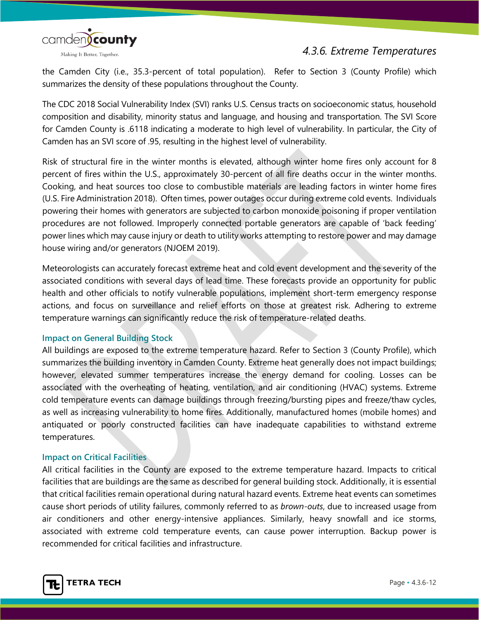

the Camden City (i.e., 35.3-percent of total population). Refer to Section 3 (County Profile) which summarizes the density of these populations throughout the County.

The CDC 2018 Social Vulnerability Index (SVI) ranks U.S. Census tracts on socioeconomic status, household composition and disability, minority status and language, and housing and transportation. The SVI Score for Camden County is .6118 indicating a moderate to high level of vulnerability. In particular, the City of Camden has an SVI score of .95, resulting in the highest level of vulnerability.

Risk of structural fire in the winter months is elevated, although winter home fires only account for 8 percent of fires within the U.S., approximately 30-percent of all fire deaths occur in the winter months. Cooking, and heat sources too close to combustible materials are leading factors in winter home fires (U.S. Fire Administration 2018). Often times, power outages occur during extreme cold events. Individuals powering their homes with generators are subjected to carbon monoxide poisoning if proper ventilation procedures are not followed. Improperly connected portable generators are capable of 'back feeding' power lines which may cause injury or death to utility works attempting to restore power and may damage house wiring and/or generators (NJOEM 2019).

Meteorologists can accurately forecast extreme heat and cold event development and the severity of the associated conditions with several days of lead time. These forecasts provide an opportunity for public health and other officials to notify vulnerable populations, implement short-term emergency response actions, and focus on surveillance and relief efforts on those at greatest risk. Adhering to extreme temperature warnings can significantly reduce the risk of temperature-related deaths.

## **Impact on General Building Stock**

All buildings are exposed to the extreme temperature hazard. Refer to Section 3 (County Profile), which summarizes the building inventory in Camden County. Extreme heat generally does not impact buildings; however, elevated summer temperatures increase the energy demand for cooling. Losses can be associated with the overheating of heating, ventilation, and air conditioning (HVAC) systems. Extreme cold temperature events can damage buildings through freezing/bursting pipes and freeze/thaw cycles, as well as increasing vulnerability to home fires. Additionally, manufactured homes (mobile homes) and antiquated or poorly constructed facilities can have inadequate capabilities to withstand extreme temperatures.

## **Impact on Critical Facilities**

All critical facilities in the County are exposed to the extreme temperature hazard. Impacts to critical facilities that are buildings are the same as described for general building stock. Additionally, it is essential that critical facilities remain operational during natural hazard events. Extreme heat events can sometimes cause short periods of utility failures, commonly referred to as *brown-outs*, due to increased usage from air conditioners and other energy-intensive appliances. Similarly, heavy snowfall and ice storms, associated with extreme cold temperature events, can cause power interruption. Backup power is recommended for critical facilities and infrastructure.

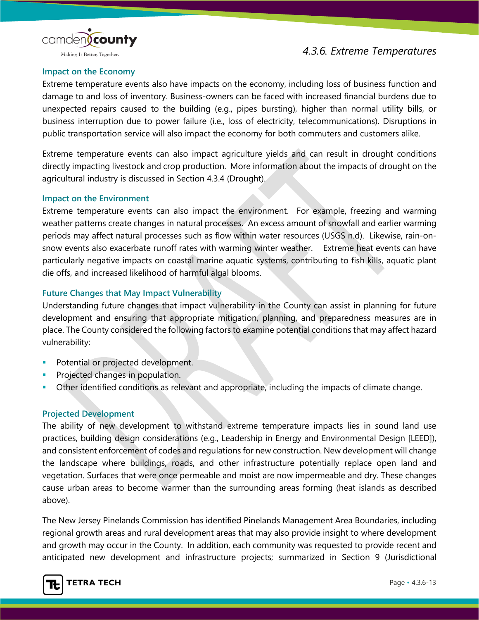

Making It Better, Together.

### **Impact on the Economy**

Extreme temperature events also have impacts on the economy, including loss of business function and damage to and loss of inventory. Business-owners can be faced with increased financial burdens due to unexpected repairs caused to the building (e.g., pipes bursting), higher than normal utility bills, or business interruption due to power failure (i.e., loss of electricity, telecommunications). Disruptions in public transportation service will also impact the economy for both commuters and customers alike.

Extreme temperature events can also impact agriculture yields and can result in drought conditions directly impacting livestock and crop production. More information about the impacts of drought on the agricultural industry is discussed in Section 4.3.4 (Drought).

### **Impact on the Environment**

Extreme temperature events can also impact the environment. For example, freezing and warming weather patterns create changes in natural processes. An excess amount of snowfall and earlier warming periods may affect natural processes such as flow within water resources (USGS n.d). Likewise, rain-onsnow events also exacerbate runoff rates with warming winter weather. Extreme heat events can have particularly negative impacts on coastal marine aquatic systems, contributing to fish kills, aquatic plant die offs, and increased likelihood of harmful algal blooms.

# **Future Changes that May Impact Vulnerability**

Understanding future changes that impact vulnerability in the County can assist in planning for future development and ensuring that appropriate mitigation, planning, and preparedness measures are in place. The County considered the following factors to examine potential conditions that may affect hazard vulnerability:

- Potential or projected development.
- Projected changes in population.
- Other identified conditions as relevant and appropriate, including the impacts of climate change.

## **Projected Development**

The ability of new development to withstand extreme temperature impacts lies in sound land use practices, building design considerations (e.g., Leadership in Energy and Environmental Design [LEED]), and consistent enforcement of codes and regulations for new construction. New development will change the landscape where buildings, roads, and other infrastructure potentially replace open land and vegetation. Surfaces that were once permeable and moist are now impermeable and dry. These changes cause urban areas to become warmer than the surrounding areas forming (heat islands as described above).

The New Jersey Pinelands Commission has identified Pinelands Management Area Boundaries, including regional growth areas and rural development areas that may also provide insight to where development and growth may occur in the County. In addition, each community was requested to provide recent and anticipated new development and infrastructure projects; summarized in Section 9 (Jurisdictional